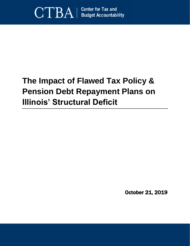

# **The Impact of Flawed Tax Policy & Pension Debt Repayment Plans on Illinois' Structural Deficit**

October 21, 2019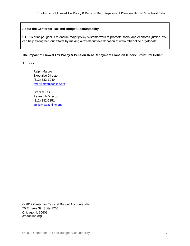#### **About the Center for Tax and Budget Accountability**

CTBA's principal goal is to ensure major policy systems work to promote social and economic justice. You can help strengthen our efforts by making a tax-deductible donation at www.ctbaonline.org/donate.

#### **The Impact of Flawed Tax Policy & Pension Debt Repayment Plans on Illinois' Structural Deficit**

### **Authors:**

Ralph Martire Executive Director (312) 332-1049 [rmartire@ctbaonline.org](mailto:rmartire@ctbaonline.org)

Drazzel Feliu Research Director (312) 332-2151 [dfeliu@ctbaonline.org](mailto:dfeliu@ctbaonline.org)

© 2019 Center for Tax and Budget Accountability 70 E. Lake St., Suite 1700 Chicago, IL 60601 ctbaonline.org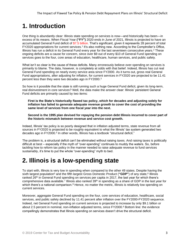# **1. Introduction**

One thing is abundantly clear: Illinois state spending on services is now—and historically has been—in excess of its means. When Fiscal Year **("FY")** 2020 ends in June of 2021, Illinois is projected to have an accumulated General Fund deficit of \$7.5 billion. That's significant, given it represents 28 percent of total FY2020 appropriations for current services.<sup>1</sup> It's also nothing new. According to the Comptroller's Office, Illinois has run a deficit in its General Fund every year for the last seventeen consecutive years.<sup>2</sup> These ongoing deficits are a cause for concern, since over \$9 out of every \$10 of General Fund spending on services goes to the four, core areas of education, healthcare, human services, and public safety.

What isn't so clear is the cause of these deficits. Many erroneously believe over-spending on services is primarily to blame. The data, however, is completely at odds with that belief. Indeed, Illinois has cut real General Fund spending on nearly every service area since FY2000. As it turns out, gross real General Fund appropriations, after adjusting for inflation, for current services in FY2020 are projected to be 11.41 percent less than they were two decades ago in FY2000.<sup>3</sup>

So how is it possible that the state is still running such a huge General Fund deficit, given its long-term, real disinvestment in core services? Well, the data make the answer clear: Illinois' persistent General Fund deficits are primarily caused by two items:

**First is the State's historically flawed tax policy, which for decades and adjusting solely for inflation has failed to generate adequate revenue growth to cover the cost of providing the same level of services from one fiscal year into the next.**

**Second is the 1995 plan devised for repaying the pension debt Illinois incurred to cover part of the historic mismatch between revenue and service cost growth.**

Indeed, Illinois' tax policy is so poorly designed that in inflation adjusted terms, state revenue from all sources in FY2020 is projected to be roughly equivalent to what the Illinois' tax system generated two decades ago in FY2000.<sup>4</sup> In other words, Illinois has a textbook "structural deficit."

The problem is, a structural deficit can't be eliminated without raising taxes. And raising taxes is politically difficult at best – especially if the myth of "over-spending" continues to muddy the waters. So, before tackling how to reform tax policy in the manner needed to raise adequate revenue to fund services sustainably, it's time to put the whole "over-spending" myth to bed.

### **2. Illinois is a low-spending state**

To start with, Illinois is very low in spending when compared to the other 49 states. Despite having the sixth largest population<sup>5</sup> and the fifth largest Gross Domestic Product ("**GDP"**) of any state,<sup>6</sup> Illinois ranked 26<sup>th</sup> in General Fund spending on services per capita in 2017, the last year for which there's comprehensive data available.<sup>7</sup> Illinois also ranked 39<sup>th</sup> in spending as a share of GDP in the last year for which there's a national comparison.<sup>8</sup> Hence, no matter the metric, Illinois is relatively low spending on current services.

Moreover, aggregate General Fund spending on the four, core services of education, healthcare, social services, and public safety declined by 11.41 percent after inflation over the FY2000-FY2020 sequence. Indeed, net General Fund spending on current services is projected to increase by only \$9.1 billion or about 2.5 percent in nominal, non-inflation adjusted terms, since FY2000. <sup>9</sup> Bottom line: the evidence compellingly demonstrates that Illinois spending on services doesn't drive the structural deficit.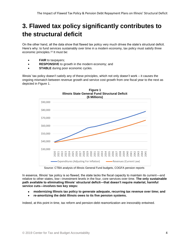# **3. Flawed tax policy significantly contributes to the structural deficit**

On the other hand, all the data show that flawed tax policy very much drives the state's structural deficit. Here's why: to fund services sustainably over time in a modern economy, tax policy must satisfy three economic principles. <sup>10</sup> It must be:

- **FAIR** to taxpayers;
- **RESPONSIVE** to growth in the modern economy; and
- **STABLE** during poor economic cycles.

Illinois' tax policy doesn't satisfy any of these principles, which not only doesn't work – it causes the ongoing mismatch between revenue growth and service cost growth from one fiscal year to the next as depicted in Figure 1.



**Figure 1**

Source: CTBA analysis of Illinois General Fund budgets, COGFA pension reports

In essence, Illinois' tax policy is so flawed, the state lacks the fiscal capacity to maintain its current—and relative to other states, low—investment levels in the four, core services over time. **The only sustainable path available to eliminating Illinois' structural deficit—that doesn't require material, harmful service cuts—involves two key steps:**

- **modernizing Illinois tax policy to generate adequate, recurring tax revenue over time; and**
- **re-amortizing the debt Illinois owes to its five pension systems.**

Indeed, at this point in time, tax reform and pension-debt reamortization are inexorably entwined.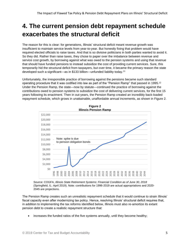# **4. The current pension debt repayment schedule exacerbates the structural deficit**

The reason for this is clear: for generations, Illinois' structural deficit meant revenue growth was insufficient to maintain service levels from year-to-year. But honestly fixing that problem would have required elected officials to raise taxes. And that is so divisive politicians in both parties wanted to avoid it. So they did. Rather than raise taxes, they chose to paper over the imbalance between revenue and service cost growth, by borrowing against what was owed to the pension systems and using that revenue that should have funded pensions to instead subsidize the cost of providing current services. Sure, this temporarily hid the structural deficit from taxpayers, but over time, it became the primary reason the state developed such a significant—as in \$133 billion—unfunded liability today.<sup>11</sup>

Unfortunately, the irresponsible practice of borrowing against the pensions became such standard operating procedure that it was codified into law as part of the "Pension Ramp" that passed in 1995. $^{\rm 12}$ Under the Pension Ramp, the state—now by statute—continued the practice of borrowing against the contributions owed to pension systems to subsidize the cost of delivering current services, for the first 15 years following its enactment. Then in out-years, the Pension Ramp created an incredibly back-loaded repayment schedule, which grows in unattainable, unaffordable annual increments, as shown in Figure 2.



Source: COGFA, *Illinois State Retirement Systems: Financial Condition as of June 30, 2018* (Springfield, IL: April 2019). Note: contributions for 1996-2019 are actual appropriations and 2020- 2045 are projections.

The Pension Ramp creates such an unrealistic repayment schedule that it would continue to strain Illinois' fiscal capacity even after modernizing tax policy. Hence, resolving Illinois' structural deficit requires that, in addition to implementing the tax reforms identified below, Illinois must also re-amortize its extant pension debt to create a realistic repayment structure that:

• increases the funded ratios of the five systems annually, until they become healthy;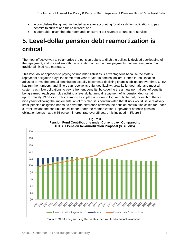- accomplishes that growth in funded ratio after accounting for all cash flow obligations to pay benefits to current and future retirees; and
- is affordable, given the other demands on current tax revenue to fund core services.

# **5. Level-dollar pension debt reamortization is critical**

The most effective way to re-amortize the pension debt is to ditch the politically devised backloading of the repayment, and instead smooth the obligation out into annual payments that are level, akin to a traditional, fixed rate mortgage.

This level dollar approach to paying off unfunded liabilities is advantageous because the state's repayment obligation stays the same from year-to-year in nominal dollars. Hence in real, inflation adjusted terms, the annual contribution actually becomes a declining financial obligation over time. CTBA has run the numbers, and Illinois can resolve its unfunded liability, grow its funded ratio, and meet all system cash flow obligations to pay retirement benefits, by covering the annual normal cost of benefits being earned, each year, plus utilizing a level dollar annual repayment of its pension debt set at approximately \$9.6 billion. This reamortization plan is shown in Figure 3. Note that, for each of the first nine years following the implementation of this plan, it is contemplated that Illinois would issue relatively small pension obligation bonds, to cover the difference between the pension contribution called for under current law and the contribution called for under the reamortization. Repayment of those pension obligation bonds—at a 6.55 percent interest rate over 25 years—is included in Figure 3.



**Figure 3 Pension Fund Contributions under Current Law, Compared to CTBA's Pension Re-Amortization Proposal (\$ Billions)**

Source: CTBA analysis using Illinois state pension fund actuarial valuations.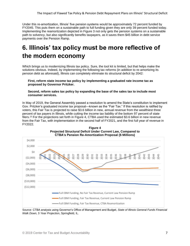Under this re-amortization, Illinois' five pension systems would be approximately 72 percent funded by FY2045. This puts them on a sustainable path to full funding given they are only 39 percent funded today. Implementing the reamortization depicted in Figure 3 not only gets the pension systems on a sustainable path to solvency, but also significantly benefits taxpayers, as it saves them \$45 billion in debt service payments over the Pension Ramp.

### **6. Illinois' tax policy must be more reflective of the modern economy**

Which brings us to modernizing Illinois tax policy. Sure, the tool kit is limited, but that helps make the solutions obvious. Indeed, by implementing the following tax reforms (in addition to re-amortizing its pension debt as aforesaid), Illinois can completely eliminate its structural deficit by 2042:

#### **First, reform state income tax policy by implementing a graduated rate income tax as proposed by Governor Pritzker.**

#### **Second, reform sales tax policy by expanding the base of the sales tax to include most consumer services.**

In May of 2019, the General Assembly passed a resolution to amend the State's constitution to implement Gov. Pritzker's graduated income tax proposal—known as the "Fair Tax." If this resolution is ratified by voters, this Fair Tax is projected to raise \$3.6 billion in new, annual revenue from the wealthiest three percent of tax payers in Illinois, while cutting the income tax liability of the bottom 97 percent of state filers.<sup>13</sup> For the projections set forth in Figure 4, CTBA used the estimated \$3.6 billion in new revenue from the Fair Tax, with implementation in the second half of FY2021, and the first full year of revenue in FY2022.





Source: CTBA analysis using Governor's Office of Management and Budget, *State of Illinois General Funds Financial Walk Down, 5 Year Projection*, Springfield, IL.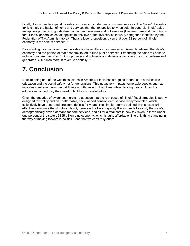Finally, Illinois has to expand its sales tax base to include most consumer services. The "base" of a sales tax is simply the basket of items and services that the tax applies to when sold. In general, Illinois' sales tax applies primarily to goods (like clothing and furniture) and not services (like lawn care and haircuts). In fact, Illinois' general sales tax applies to only five of the 168 service industry categories identified by the Federation of Tax Administrators.<sup>14</sup> That's a loser proposition, given that over 72 percent of Illinois' economy is the sale of services.<sup>15</sup>

By excluding most services from the sales tax base, Illinois has created a mismatch between the state's economy and the portion of that economy taxed to fund public services. Expanding the sales tax base to include consumer services (but not professional or business-to-business services) fixes this problem and generates \$2.0 billion more in revenue annually.<sup>16</sup>

### **7. Conclusion**

Despite being one of the wealthiest states in America, Illinois has struggled to fund core services like education and the social safety net for generations. This negatively impacts vulnerable people, such as individuals suffering from mental illness and those with disabilities, while denying most children the educational opportunity they need to build a successful future.

Given the decades of evidence, there's no question that the root cause of Illinois' fiscal struggles is poorly designed tax policy and an unaffordable, back-loaded pension debt service repayment plan, which collectively have generated structural deficits for years. The simple reforms outlined in this Issue Brief effectively eliminate the structural deficit, generate the fiscal capacity Illinois needs to satisfy the state's demographically-driven demand for core services, and all for a total cost in new tax revenue that's under one percent of the state's \$865 billion-plus economy, which is quite affordable. The only thing standing in the way of moving forward is politics – and that we can't truly afford.